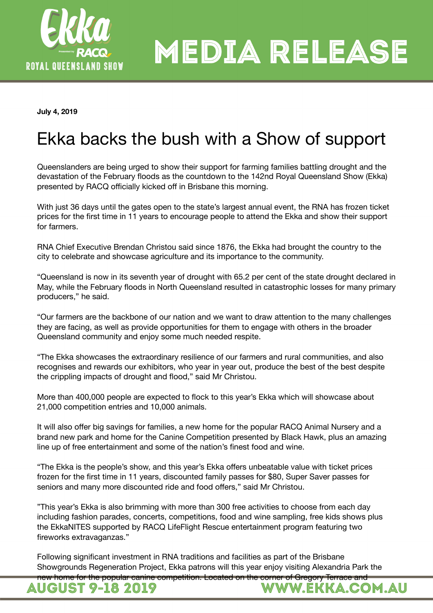

**July 4, 2019** 

# Ekka backs the bush with a Show of support

Queenslanders are being urged to show their support for farming families battling drought and the devastation of the February floods as the countdown to the 142nd Royal Queensland Show (Ekka) presented by RACQ officially kicked off in Brisbane this morning.

With just 36 days until the gates open to the state's largest annual event, the RNA has frozen ticket prices for the first time in 11 years to encourage people to attend the Ekka and show their support for farmers.

RNA Chief Executive Brendan Christou said since 1876, the Ekka had brought the country to the city to celebrate and showcase agriculture and its importance to the community.

"Queensland is now in its seventh year of drought with 65.2 per cent of the state drought declared in May, while the February floods in North Queensland resulted in catastrophic losses for many primary producers," he said.

"Our farmers are the backbone of our nation and we want to draw attention to the many challenges they are facing, as well as provide opportunities for them to engage with others in the broader Queensland community and enjoy some much needed respite.

"The Ekka showcases the extraordinary resilience of our farmers and rural communities, and also recognises and rewards our exhibitors, who year in year out, produce the best of the best despite the crippling impacts of drought and flood," said Mr Christou.

More than 400,000 people are expected to flock to this year's Ekka which will showcase about 21,000 competition entries and 10,000 animals.

It will also offer big savings for families, a new home for the popular RACQ Animal Nursery and a brand new park and home for the Canine Competition presented by Black Hawk, plus an amazing line up of free entertainment and some of the nation's finest food and wine.

"The Ekka is the people's show, and this year's Ekka offers unbeatable value with ticket prices frozen for the first time in 11 years, discounted family passes for \$80, Super Saver passes for seniors and many more discounted ride and food offers," said Mr Christou.

"This year's Ekka is also brimming with more than 300 free activities to choose from each day including fashion parades, concerts, competitions, food and wine sampling, free kids shows plus the EkkaNITES supported by RACQ LifeFlight Rescue entertainment program featuring two fireworks extravaganzas."

Following significant investment in RNA traditions and facilities as part of the Brisbane Showgrounds Regeneration Project, Ekka patrons will this year enjoy visiting Alexandria Park the

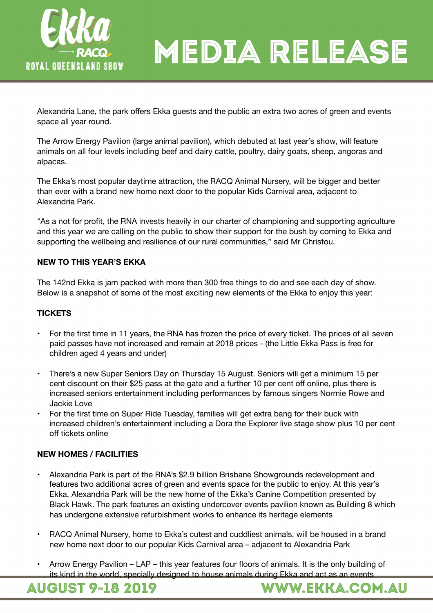

Alexandria Lane, the park offers Ekka guests and the public an extra two acres of green and events space all year round.

The Arrow Energy Pavilion (large animal pavilion), which debuted at last year's show, will feature animals on all four levels including beef and dairy cattle, poultry, dairy goats, sheep, angoras and alpacas.

The Ekka's most popular daytime attraction, the RACQ Animal Nursery, will be bigger and better than ever with a brand new home next door to the popular Kids Carnival area, adjacent to Alexandria Park.

"As a not for profit, the RNA invests heavily in our charter of championing and supporting agriculture and this year we are calling on the public to show their support for the bush by coming to Ekka and supporting the wellbeing and resilience of our rural communities," said Mr Christou.

# **NEW TO THIS YEAR'S EKKA**

The 142nd Ekka is jam packed with more than 300 free things to do and see each day of show. Below is a snapshot of some of the most exciting new elements of the Ekka to enjoy this year:

### **TICKETS**

- For the first time in 11 years, the RNA has frozen the price of every ticket. The prices of all seven paid passes have not increased and remain at 2018 prices - (the Little Ekka Pass is free for children aged 4 years and under)
- There's a new Super Seniors Day on Thursday 15 August. Seniors will get a minimum 15 per cent discount on their \$25 pass at the gate and a further 10 per cent off online, plus there is increased seniors entertainment including performances by famous singers Normie Rowe and Jackie Love
- For the first time on Super Ride Tuesday, families will get extra bang for their buck with increased children's entertainment including a Dora the Explorer live stage show plus 10 per cent off tickets online

### **NEW HOMES / FACILITIES**

- Alexandria Park is part of the RNA's \$2.9 billion Brisbane Showgrounds redevelopment and features two additional acres of green and events space for the public to enjoy. At this year's Ekka, Alexandria Park will be the new home of the Ekka's Canine Competition presented by Black Hawk. The park features an existing undercover events pavilion known as Building 8 which has undergone extensive refurbishment works to enhance its heritage elements
- RACQ Animal Nursery, home to Ekka's cutest and cuddliest animals, will be housed in a brand new home next door to our popular Kids Carnival area – adjacent to Alexandria Park
- Arrow Energy Pavilion LAP this year features four floors of animals. It is the only building of its kind in the world, specially designed to house animals during Ekka and act as an events

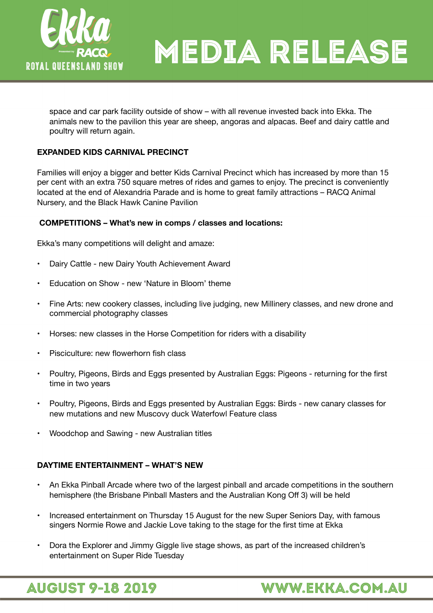

space and car park facility outside of show – with all revenue invested back into Ekka. The animals new to the pavilion this year are sheep, angoras and alpacas. Beef and dairy cattle and poultry will return again.

### **EXPANDED KIDS CARNIVAL PRECINCT**

Families will enjoy a bigger and better Kids Carnival Precinct which has increased by more than 15 per cent with an extra 750 square metres of rides and games to enjoy. The precinct is conveniently located at the end of Alexandria Parade and is home to great family attractions – RACQ Animal Nursery, and the Black Hawk Canine Pavilion

#### **COMPETITIONS – What's new in comps / classes and locations:**

Ekka's many competitions will delight and amaze:

- Dairy Cattle new Dairy Youth Achievement Award
- Education on Show new 'Nature in Bloom' theme
- Fine Arts: new cookery classes, including live judging, new Millinery classes, and new drone and commercial photography classes
- Horses: new classes in the Horse Competition for riders with a disability
- Pisciculture: new flowerhorn fish class
- Poultry, Pigeons, Birds and Eggs presented by Australian Eggs: Pigeons returning for the first time in two years
- Poultry, Pigeons, Birds and Eggs presented by Australian Eggs: Birds new canary classes for new mutations and new Muscovy duck Waterfowl Feature class
- Woodchop and Sawing new Australian titles

#### **DAYTIME ENTERTAINMENT – WHAT'S NEW**

- An Ekka Pinball Arcade where two of the largest pinball and arcade competitions in the southern hemisphere (the Brisbane Pinball Masters and the Australian Kong Off 3) will be held
- Increased entertainment on Thursday 15 August for the new Super Seniors Day, with famous singers Normie Rowe and Jackie Love taking to the stage for the first time at Ekka
- Dora the Explorer and Jimmy Giggle live stage shows, as part of the increased children's entertainment on Super Ride Tuesday

**AUGUST 9-18 2019** 

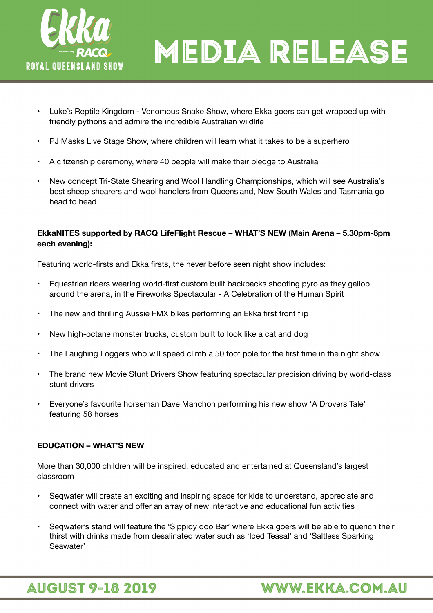

- Luke's Reptile Kingdom Venomous Snake Show, where Ekka goers can get wrapped up with friendly pythons and admire the incredible Australian wildlife
- PJ Masks Live Stage Show, where children will learn what it takes to be a superhero
- A citizenship ceremony, where 40 people will make their pledge to Australia
- New concept Tri-State Shearing and Wool Handling Championships, which will see Australia's best sheep shearers and wool handlers from Queensland, New South Wales and Tasmania go head to head

### **EkkaNITES supported by RACQ LifeFlight Rescue – WHAT'S NEW (Main Arena – 5.30pm-8pm each evening):**

Featuring world-firsts and Ekka firsts, the never before seen night show includes:

- Equestrian riders wearing world-first custom built backpacks shooting pyro as they gallop around the arena, in the Fireworks Spectacular - A Celebration of the Human Spirit
- The new and thrilling Aussie FMX bikes performing an Ekka first front flip
- New high-octane monster trucks, custom built to look like a cat and dog
- The Laughing Loggers who will speed climb a 50 foot pole for the first time in the night show
- The brand new Movie Stunt Drivers Show featuring spectacular precision driving by world-class stunt drivers
- Everyone's favourite horseman Dave Manchon performing his new show 'A Drovers Tale' featuring 58 horses

#### **EDUCATION – WHAT'S NEW**

More than 30,000 children will be inspired, educated and entertained at Queensland's largest classroom

- Seqwater will create an exciting and inspiring space for kids to understand, appreciate and connect with water and offer an array of new interactive and educational fun activities
- Seqwater's stand will feature the 'Sippidy doo Bar' where Ekka goers will be able to quench their thirst with drinks made from desalinated water such as 'Iced Teasal' and 'Saltless Sparking Seawater'



**WWW.EKKA.COM.AU**